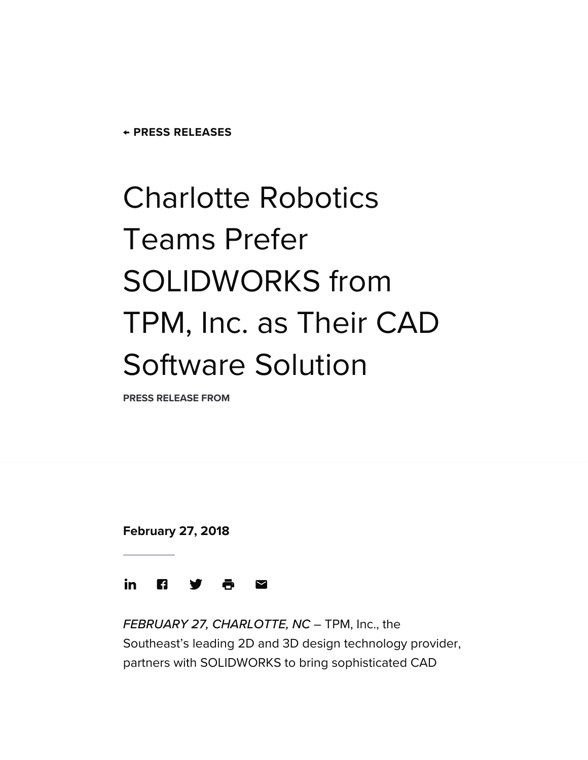**← PRESS [RELEASES](https://www.smartcitiesdive.com/press-release/)**

## Charlotte Robotics Teams Prefer SOLIDWORKS from TPM, Inc. as Their CAD Software Solution

**PRESS RELEASE FROM**

**February 27, 2018**



FEBRUARY 27, CHARLOTTE, NC - TPM, Inc., the Southeast's leading 2D and 3D [design technology](https://www.tpm.com/) provider, partners with [SOLIDWORKS](https://www.tpm.com/software/solidworks/) to bring sophisticated CAD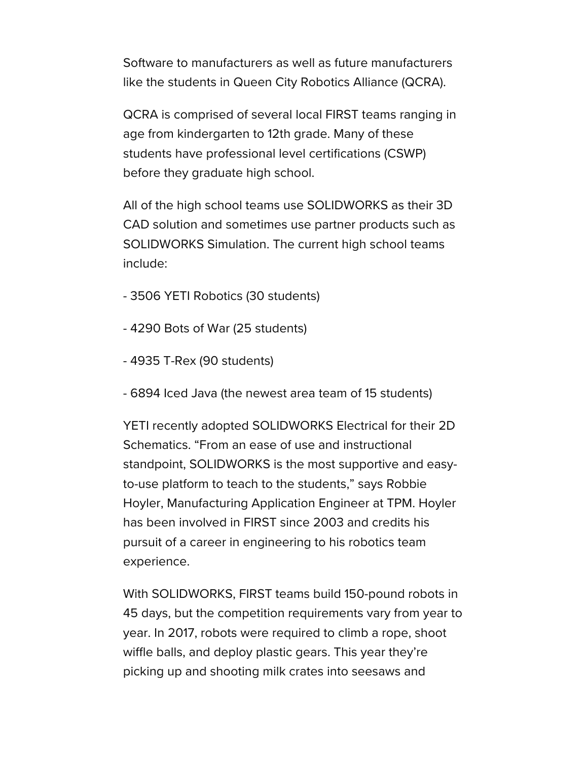Software to manufacturers as well as future manufacturers like the students in [Queen City](http://queencityrobotics.org/) Robotics Alliance (QCRA).

QCRA is comprised of several local FIRST [teams](http://queencityrobotics.org/first/programs/) ranging in age from kindergarten to 12th grade. Many of these students have professional level certifications (CSWP) before they graduate high school.

All of the high school teams use SOLIDWORKS as their 3D CAD solution and sometimes use partner products such as SOLIDWORKS Simulation. The current high school teams include:

- 3506 YETI Robotics (30 students)
- 4290 Bots of War (25 students)
- 4935 T-Rex (90 students)
- 6894 Iced Java (the newest area team of 15 students)

YETI recently adopted SOLIDWORKS Electrical for their 2D Schematics. "From an ease of use and instructional standpoint, SOLIDWORKS is the most supportive and easyto-use platform to teach to the students," says Robbie Hoyler, Manufacturing Application Engineer at TPM. Hoyler has been involved in FIRST since 2003 and credits his pursuit of a career in engineering to his robotics team experience.

With SOLIDWORKS, FIRST teams build 150-pound robots in 45 days, but the competition requirements vary from year to year. In 2017, robots were required to climb a rope, shoot wiffle balls, and deploy plastic gears. This year they're picking up and shooting milk crates into seesaws and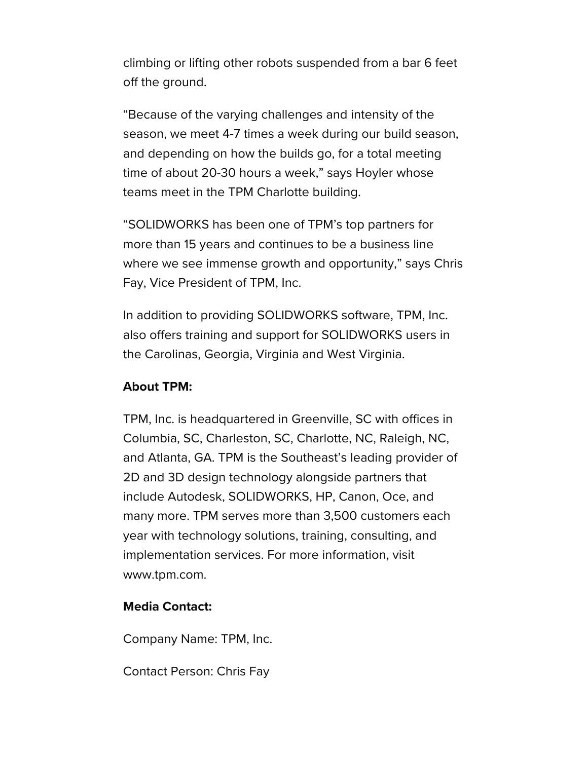climbing or lifting other robots suspended from a bar 6 feet off the ground.

"Because of the varying challenges and intensity of the season, we meet 4-7 times a week during our build season, and depending on how the builds go, for a total meeting time of about 20-30 hours a week," says Hoyler whose teams meet in the TPM Charlotte building.

"SOLIDWORKS has been one of TPM's top partners for more than 15 years and continues to be a business line where we see immense growth and opportunity," says Chris Fay, Vice President of TPM, Inc.

In addition to providing SOLIDWORKS software, TPM, Inc. also offers training and support for SOLIDWORKS users in the Carolinas, Georgia, Virginia and West Virginia.

## **About TPM:**

TPM, Inc. is headquartered in Greenville, SC with offices in Columbia, SC, Charleston, SC, Charlotte, NC, Raleigh, NC, and Atlanta, GA. TPM is the Southeast's leading provider of 2D and 3D design technology alongside partners that include Autodesk, SOLIDWORKS, HP, Canon, Oce, and many more. TPM serves more than 3,500 customers each year with technology solutions, training, consulting, and implementation services. For more information, visit [www.tpm.com](http://www.tpm.com/).

## **Media Contact:**

Company Name: TPM, Inc.

Contact Person: Chris Fay